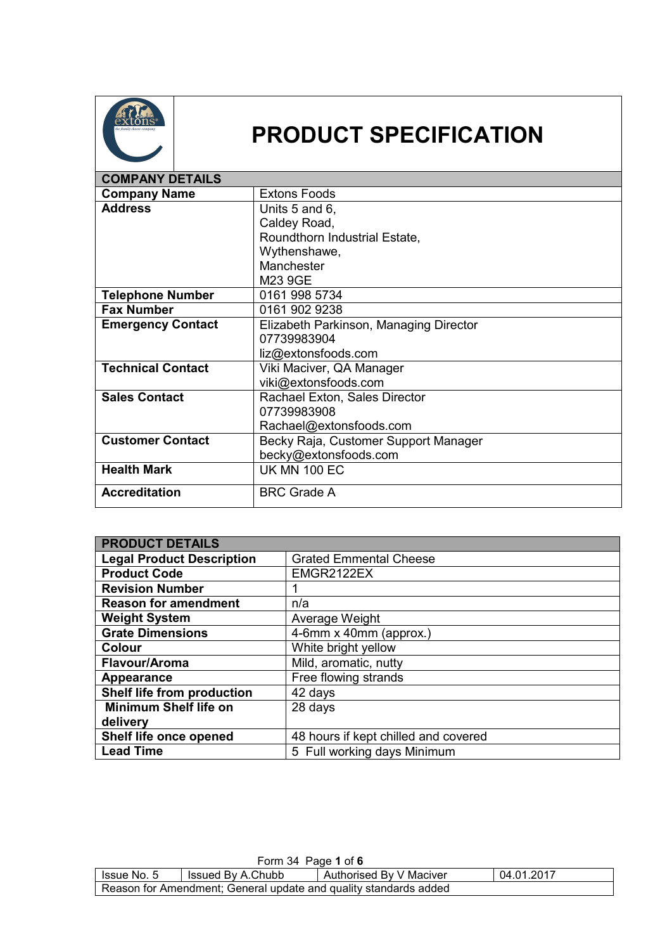

## **PRODUCT SPECIFICATION**

| <b>COMPANY DETAILS</b>   |                                        |
|--------------------------|----------------------------------------|
| <b>Company Name</b>      | <b>Extons Foods</b>                    |
| <b>Address</b>           | Units 5 and 6,                         |
|                          | Caldey Road,                           |
|                          | Roundthorn Industrial Estate,          |
|                          | Wythenshawe,                           |
|                          | Manchester                             |
|                          | M23 9GE                                |
| <b>Telephone Number</b>  | 0161 998 5734                          |
| <b>Fax Number</b>        | 0161 902 9238                          |
| <b>Emergency Contact</b> | Elizabeth Parkinson, Managing Director |
|                          | 07739983904                            |
|                          | liz@extonsfoods.com                    |
| <b>Technical Contact</b> | Viki Maciver, QA Manager               |
|                          | viki@extonsfoods.com                   |
| <b>Sales Contact</b>     | Rachael Exton, Sales Director          |
|                          | 07739983908                            |
|                          | Rachael@extonsfoods.com                |
| <b>Customer Contact</b>  | Becky Raja, Customer Support Manager   |
|                          | becky@extonsfoods.com                  |
| <b>Health Mark</b>       | <b>UK MN 100 EC</b>                    |
| <b>Accreditation</b>     | <b>BRC Grade A</b>                     |

| <b>PRODUCT DETAILS</b>           |                                      |
|----------------------------------|--------------------------------------|
| <b>Legal Product Description</b> | <b>Grated Emmental Cheese</b>        |
| <b>Product Code</b>              | EMGR2122EX                           |
| <b>Revision Number</b>           |                                      |
| <b>Reason for amendment</b>      | n/a                                  |
| <b>Weight System</b>             | Average Weight                       |
| <b>Grate Dimensions</b>          | 4-6mm x 40mm (approx.)               |
| <b>Colour</b>                    | White bright yellow                  |
| Flavour/Aroma                    | Mild, aromatic, nutty                |
| Appearance                       | Free flowing strands                 |
| Shelf life from production       | 42 days                              |
| <b>Minimum Shelf life on</b>     | 28 days                              |
| delivery                         |                                      |
| Shelf life once opened           | 48 hours if kept chilled and covered |
| <b>Lead Time</b>                 | 5 Full working days Minimum          |

| Form 34 Page 1 of 6                                              |                   |                         |            |
|------------------------------------------------------------------|-------------------|-------------------------|------------|
| Issue No. 5                                                      | Issued By A.Chubb | Authorised By V Maciver | 04.01.2017 |
| Reason for Amendment; General update and quality standards added |                   |                         |            |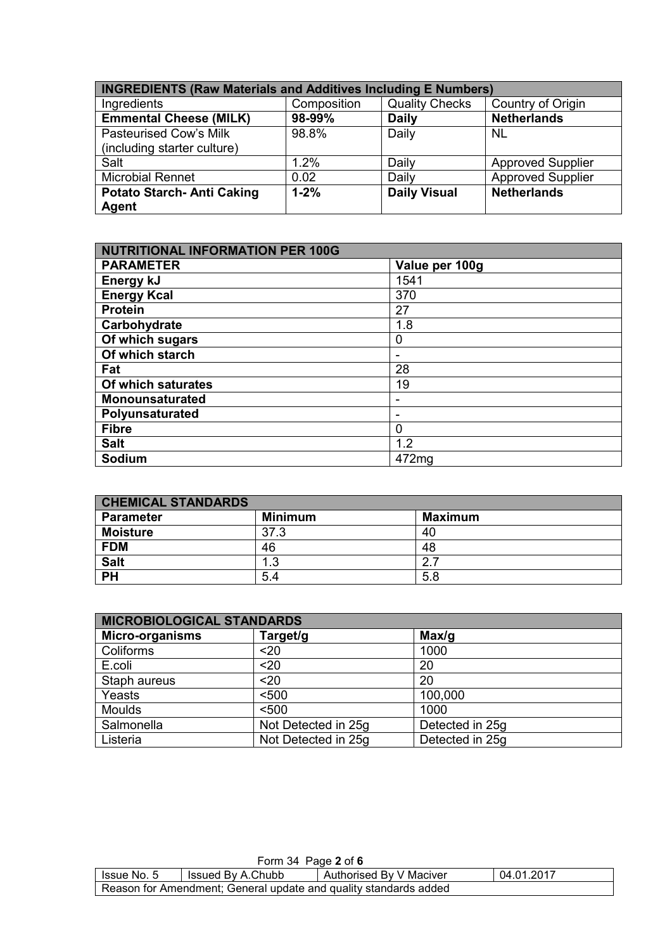| <b>INGREDIENTS (Raw Materials and Additives Including E Numbers)</b> |             |                       |                          |
|----------------------------------------------------------------------|-------------|-----------------------|--------------------------|
| Ingredients                                                          | Composition | <b>Quality Checks</b> | Country of Origin        |
| <b>Emmental Cheese (MILK)</b>                                        | 98-99%      | <b>Daily</b>          | <b>Netherlands</b>       |
| <b>Pasteurised Cow's Milk</b>                                        | 98.8%       | Daily                 | <b>NL</b>                |
| (including starter culture)                                          |             |                       |                          |
| Salt                                                                 | 1.2%        | Daily                 | <b>Approved Supplier</b> |
| <b>Microbial Rennet</b>                                              | 0.02        | Daily                 | <b>Approved Supplier</b> |
| <b>Potato Starch-Anti Caking</b><br><b>Agent</b>                     | $1 - 2%$    | <b>Daily Visual</b>   | <b>Netherlands</b>       |

| <b>NUTRITIONAL INFORMATION PER 100G</b> |                |  |
|-----------------------------------------|----------------|--|
| <b>PARAMETER</b>                        | Value per 100g |  |
| Energy kJ                               | 1541           |  |
| <b>Energy Kcal</b>                      | 370            |  |
| <b>Protein</b>                          | 27             |  |
| Carbohydrate                            | 1.8            |  |
| Of which sugars                         | 0              |  |
| Of which starch                         |                |  |
| Fat                                     | 28             |  |
| Of which saturates                      | 19             |  |
| <b>Monounsaturated</b>                  | -              |  |
| Polyunsaturated                         | -              |  |
| <b>Fibre</b>                            | 0              |  |
| <b>Salt</b>                             | 1.2            |  |
| Sodium                                  | 472mg          |  |

| <b>CHEMICAL STANDARDS</b> |                |                |
|---------------------------|----------------|----------------|
| <b>Parameter</b>          | <b>Minimum</b> | <b>Maximum</b> |
| <b>Moisture</b>           | 37.3           | 40             |
| <b>FDM</b>                | 46             | 48             |
| <b>Salt</b>               | ີ<br>ن.        |                |
| <b>PH</b>                 | 5.4            | 5.8            |

| <b>MICROBIOLOGICAL STANDARDS</b> |                     |                 |
|----------------------------------|---------------------|-----------------|
| <b>Micro-organisms</b>           | Target/g            | Max/q           |
| Coliforms                        | $20$                | 1000            |
| E.coli                           | $20$                | 20              |
| Staph aureus                     | $20$                | 20              |
| Yeasts                           | < 500               | 100,000         |
| <b>Moulds</b>                    | < 500               | 1000            |
| Salmonella                       | Not Detected in 25g | Detected in 25g |
| Listeria                         | Not Detected in 25g | Detected in 25g |

| Form 34 Page $2$ of 6                                            |                   |                         |            |
|------------------------------------------------------------------|-------------------|-------------------------|------------|
| Issue No. 5                                                      | Issued By A.Chubb | Authorised By V Maciver | 04.01.2017 |
| Reason for Amendment; General update and quality standards added |                   |                         |            |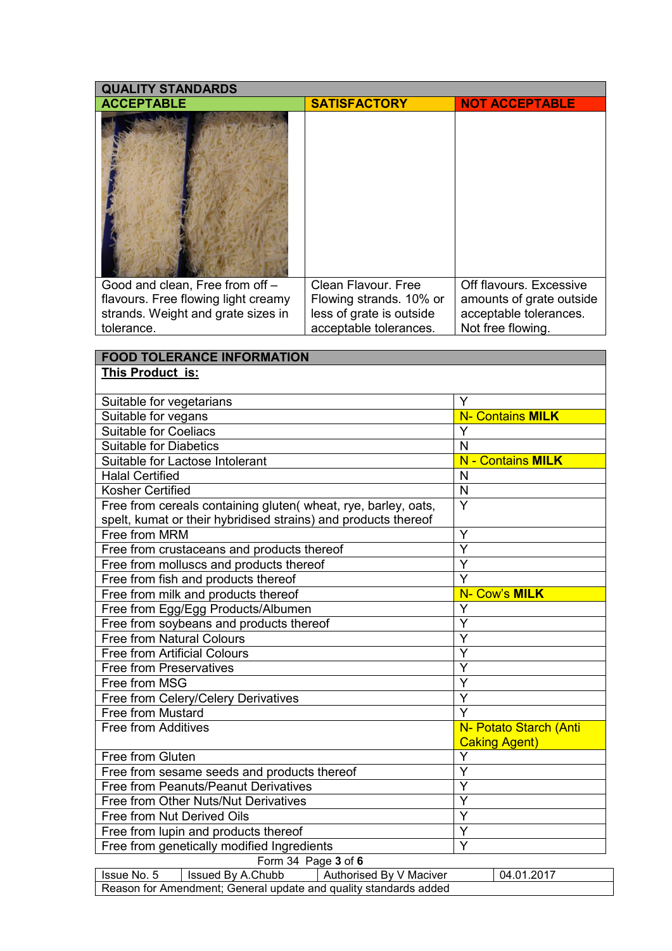| <b>QUALITY STANDARDS</b>            |                          |                          |
|-------------------------------------|--------------------------|--------------------------|
| <b>ACCEPTABLE</b>                   | <b>SATISFACTORY</b>      | <b>NOT ACCEPTABLE</b>    |
|                                     |                          |                          |
| Good and clean, Free from off -     | Clean Flavour, Free      | Off flavours, Excessive  |
| flavours. Free flowing light creamy | Flowing strands. 10% or  | amounts of grate outside |
| strands. Weight and grate sizes in  | less of grate is outside | acceptable tolerances.   |
| tolerance.                          | acceptable tolerances.   | Not free flowing.        |

| <b>FOOD TOLERANCE INFORMATION</b>                                                                                                |                         |                                                |
|----------------------------------------------------------------------------------------------------------------------------------|-------------------------|------------------------------------------------|
| This Product is:                                                                                                                 |                         |                                                |
| Suitable for vegetarians                                                                                                         | Y                       |                                                |
| Suitable for vegans                                                                                                              |                         | <b>N- Contains MILK</b>                        |
| <b>Suitable for Coeliacs</b>                                                                                                     | Y                       |                                                |
| <b>Suitable for Diabetics</b>                                                                                                    | $\mathsf{N}$            |                                                |
| Suitable for Lactose Intolerant                                                                                                  |                         | <b>N</b> - Contains MILK                       |
| <b>Halal Certified</b>                                                                                                           | N                       |                                                |
| Kosher Certified                                                                                                                 | $\overline{N}$          |                                                |
| Free from cereals containing gluten( wheat, rye, barley, oats,<br>spelt, kumat or their hybridised strains) and products thereof | $\overline{Y}$          |                                                |
| Free from MRM                                                                                                                    | Y                       |                                                |
| Free from crustaceans and products thereof                                                                                       | $\overline{\mathsf{Y}}$ |                                                |
| Free from molluscs and products thereof                                                                                          | $\overline{\mathsf{Y}}$ |                                                |
| Free from fish and products thereof                                                                                              | $\overline{Y}$          |                                                |
| Free from milk and products thereof                                                                                              |                         | N- Cow's MILK                                  |
| Free from Egg/Egg Products/Albumen                                                                                               | Ý                       |                                                |
| Free from soybeans and products thereof                                                                                          | Y                       |                                                |
| <b>Free from Natural Colours</b>                                                                                                 | Y                       |                                                |
| <b>Free from Artificial Colours</b>                                                                                              | Y                       |                                                |
| <b>Free from Preservatives</b>                                                                                                   | $\overline{Y}$          |                                                |
| Free from MSG                                                                                                                    | $\overline{\mathsf{Y}}$ |                                                |
| Free from Celery/Celery Derivatives                                                                                              | $\overline{\mathsf{Y}}$ |                                                |
| Free from Mustard                                                                                                                | $\overline{\mathsf{Y}}$ |                                                |
| Free from Additives                                                                                                              |                         | N- Potato Starch (Anti<br><b>Caking Agent)</b> |
| Free from Gluten                                                                                                                 | Y                       |                                                |
| Free from sesame seeds and products thereof                                                                                      | Y                       |                                                |
| Free from Peanuts/Peanut Derivatives                                                                                             | Ý                       |                                                |
| Free from Other Nuts/Nut Derivatives                                                                                             | Y                       |                                                |
| Free from Nut Derived Oils                                                                                                       | Y                       |                                                |
| Free from lupin and products thereof                                                                                             | Y                       |                                                |
| Free from genetically modified Ingredients                                                                                       | $\overline{\mathsf{Y}}$ |                                                |
| Form 34 Page 3 of 6                                                                                                              |                         |                                                |
| Issue No. 5<br>Issued By A.Chubb<br>Authorised By V Maciver                                                                      |                         | 04.01.2017                                     |

Reason for Amendment; General update and quality standards added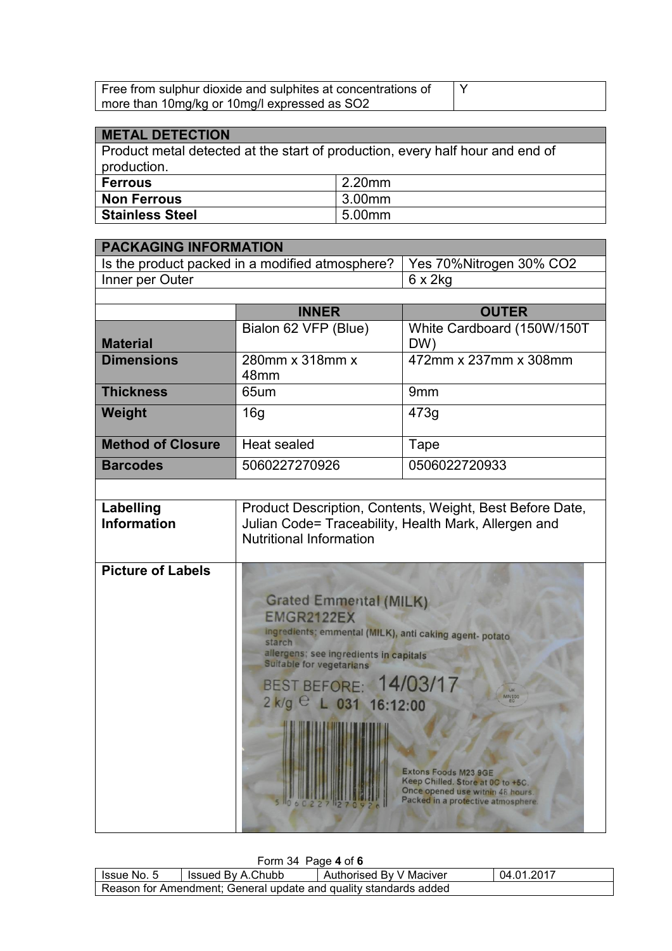| Free from sulphur dioxide and sulphites at concentrations of |  |
|--------------------------------------------------------------|--|
| more than 10mg/kg or 10mg/l expressed as SO2                 |  |

## **METAL DETECTION**

Product metal detected at the start of production, every half hour and end of production.

| <b>Ferrous</b>         | 2.20mm |
|------------------------|--------|
| <b>Non Ferrous</b>     | 3.00mm |
| <b>Stainless Steel</b> | 5.00mm |

| <b>PACKAGING INFORMATION</b>                                               |                 |
|----------------------------------------------------------------------------|-----------------|
| Is the product packed in a modified atmosphere?   Yes 70% Nitrogen 30% CO2 |                 |
| Inner per Outer                                                            | $6 \times 2$ kg |
|                                                                            |                 |

|                          | <b>INNER</b>                        | <b>OUTER</b>               |
|--------------------------|-------------------------------------|----------------------------|
|                          | Bialon 62 VFP (Blue)                | White Cardboard (150W/150T |
| <b>Material</b>          |                                     | DW)                        |
| <b>Dimensions</b>        | 280mm x 318mm x<br>48 <sub>mm</sub> | 472mm x 237mm x 308mm      |
|                          |                                     |                            |
| <b>Thickness</b>         | 65um                                | 9 <sub>mm</sub>            |
| Weight                   | 16g                                 | 473g                       |
| <b>Method of Closure</b> | Heat sealed                         | Tape                       |
| <b>Barcodes</b>          | 5060227270926                       | 0506022720933              |

| Labelling<br><b>Information</b> | Product Description, Contents, Weight, Best Before Date,<br>Julian Code= Traceability, Health Mark, Allergen and<br><b>Nutritional Information</b> |
|---------------------------------|----------------------------------------------------------------------------------------------------------------------------------------------------|
| Dioture of Loholo               |                                                                                                                                                    |

| <b>Picture of Labels</b> |                                                                                                                                                                                               |
|--------------------------|-----------------------------------------------------------------------------------------------------------------------------------------------------------------------------------------------|
|                          | <b>Grated Emmental (MILK)</b><br><b>EMGR2122EX</b><br>ingredients; emmental (MILK), anti caking agent- potato<br>starch<br>allergens; see ingredients in capitals<br>Suitable for vegetarians |
|                          | BEST BEFORE: 14/03/17<br>MNIOO<br>2 k/g C L 031 16:12:00                                                                                                                                      |
|                          | <b>Extons Foods M23 9GE</b><br>Keep Chilled. Store at 0C to +5C.                                                                                                                              |
|                          | Once opened use within 48 hours.<br>Packed in a protective atmosphere.                                                                                                                        |

Form 34 Page **4** of **6**

| $\sim$ $\sim$ $\sim$                                             |                   |                         |            |  |
|------------------------------------------------------------------|-------------------|-------------------------|------------|--|
| l Issue No. 5                                                    | Issued By A.Chubb | Authorised By V Maciver | 04.01.2017 |  |
| Reason for Amendment; General update and quality standards added |                   |                         |            |  |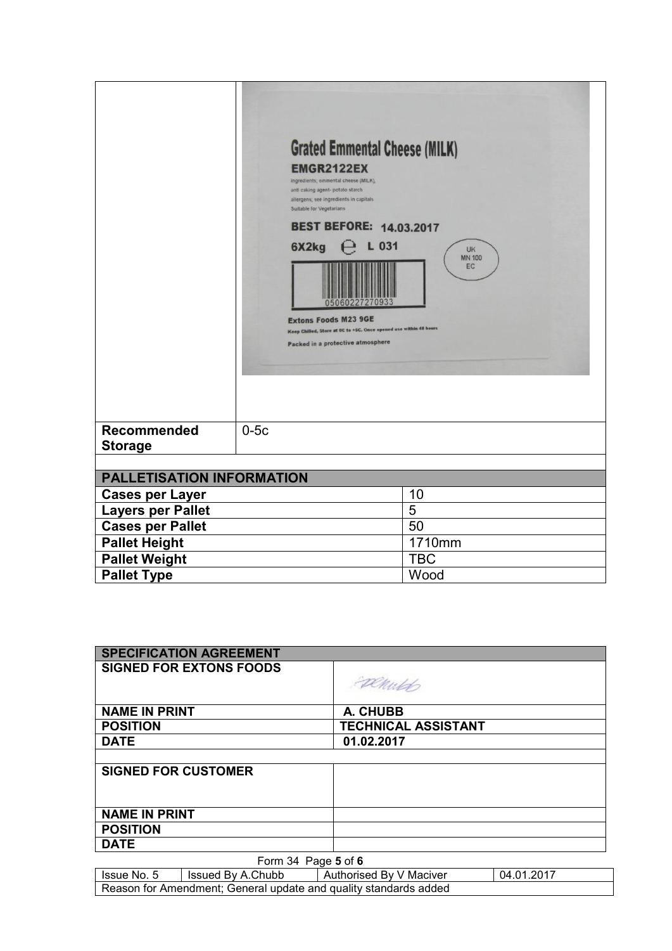|                               | 6X2kg  | <b>Grated Emmental Cheese (MILK)</b><br><b>EMGR2122EX</b><br>ingredients; emmental cheese (MILK),<br>anti caking agent- potato starch<br>allergens; see ingredients in capitals<br>Suitable for Vegetarians<br><b>BEST BEFORE: 14.03.2017</b><br>L 031<br><b>UK</b><br><b>MN 100</b><br>EC<br><b>Extons Foods M23 9GE</b><br>Keep Chilled, Store at OC to +5C. Once opened use within 48 hours<br>Packed in a protective atmosphere |
|-------------------------------|--------|-------------------------------------------------------------------------------------------------------------------------------------------------------------------------------------------------------------------------------------------------------------------------------------------------------------------------------------------------------------------------------------------------------------------------------------|
| Recommended<br><b>Storage</b> | $0-5c$ |                                                                                                                                                                                                                                                                                                                                                                                                                                     |
| PALLETISATION INFORMATION     |        |                                                                                                                                                                                                                                                                                                                                                                                                                                     |
| <b>Cases per Layer</b>        |        | 10                                                                                                                                                                                                                                                                                                                                                                                                                                  |
| <b>Layers per Pallet</b>      |        | 5                                                                                                                                                                                                                                                                                                                                                                                                                                   |
| <b>Cases per Pallet</b>       |        | 50                                                                                                                                                                                                                                                                                                                                                                                                                                  |
| <b>Pallet Height</b>          |        | 1710mm                                                                                                                                                                                                                                                                                                                                                                                                                              |
| <b>Pallet Weight</b>          |        | <b>TBC</b>                                                                                                                                                                                                                                                                                                                                                                                                                          |
| <b>Pallet Type</b>            |        | Wood                                                                                                                                                                                                                                                                                                                                                                                                                                |

| <b>SPECIFICATION AGREEMENT</b> |                            |  |
|--------------------------------|----------------------------|--|
| <b>SIGNED FOR EXTONS FOODS</b> | Exemited                   |  |
|                                |                            |  |
| <b>NAME IN PRINT</b>           | A. CHUBB                   |  |
| <b>POSITION</b>                | <b>TECHNICAL ASSISTANT</b> |  |
| <b>DATE</b>                    | 01.02.2017                 |  |
|                                |                            |  |
| <b>SIGNED FOR CUSTOMER</b>     |                            |  |
|                                |                            |  |
|                                |                            |  |
| <b>NAME IN PRINT</b>           |                            |  |
| <b>POSITION</b>                |                            |  |
| <b>DATE</b>                    |                            |  |
| Form 34 Page 5 of 6            |                            |  |

| Issue No. 5                                                      | Issued By A.Chubb | Authorised By V Maciver | 04.01.2017 |  |
|------------------------------------------------------------------|-------------------|-------------------------|------------|--|
| Reason for Amendment; General update and quality standards added |                   |                         |            |  |